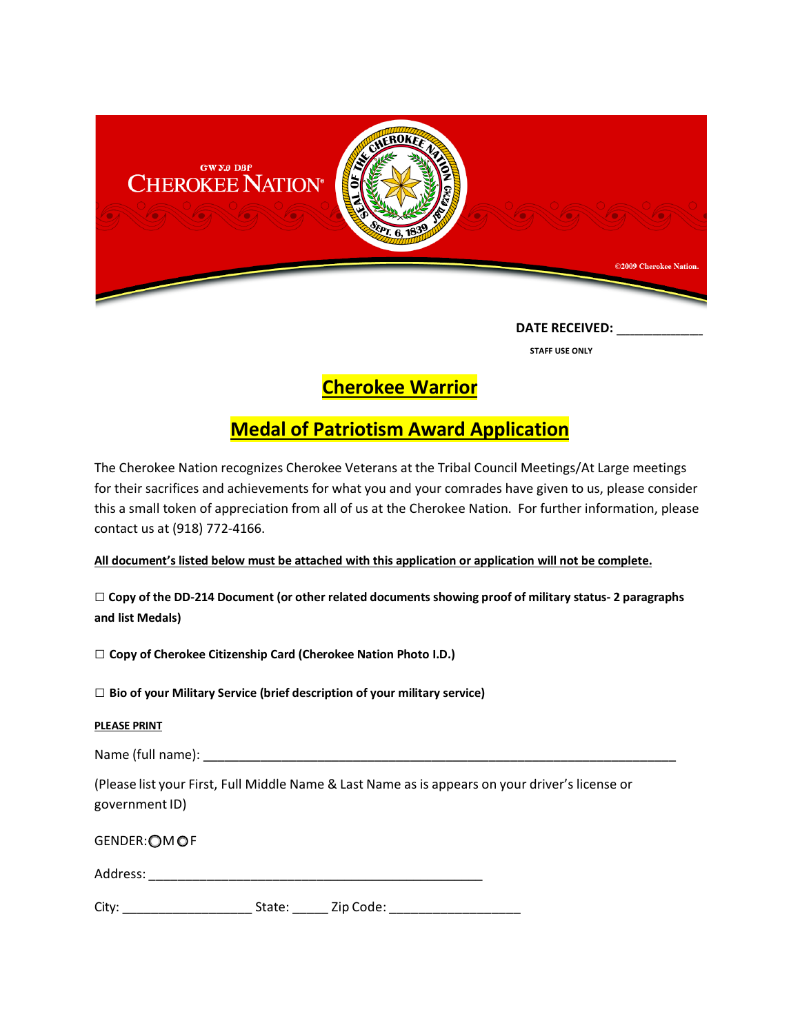

 **STAFF USE ONLY**

**Cherokee Warrior** 

## **Medal of Patriotism Award Application**

The Cherokee Nation recognizes Cherokee Veterans at the Tribal Council Meetings/At Large meetings for their sacrifices and achievements for what you and your comrades have given to us, please consider this a small token of appreciation from all of us at the Cherokee Nation. For further information, please contact us at (918) 772-4166.

**All document's listed below must be attached with this application or application will not be complete.**

**□ Copy of the DD-214 Document (or other related documents showing proof of military status- 2 paragraphs and list Medals)**

**□ Copy of Cherokee Citizenship Card (Cherokee Nation Photo I.D.)**

**□ Bio of your Military Service (brief description of your military service)**

## **PLEASE PRINT**

Name (full name): \_\_\_\_\_\_\_\_\_\_\_\_\_\_\_\_\_\_\_\_\_\_\_\_\_\_\_\_\_\_\_\_\_\_\_\_\_\_\_\_\_\_\_\_\_\_\_\_\_\_\_\_\_\_\_\_\_\_\_\_\_\_\_\_\_\_

(Please list your First, Full Middle Name & Last Name as is appears on your driver's license or government ID)

GENDER: OM OF

| Address: |  |
|----------|--|
|          |  |

City: \_\_\_\_\_\_\_\_\_\_\_\_\_\_\_\_\_\_ State: \_\_\_\_\_ Zip Code: \_\_\_\_\_\_\_\_\_\_\_\_\_\_\_\_\_\_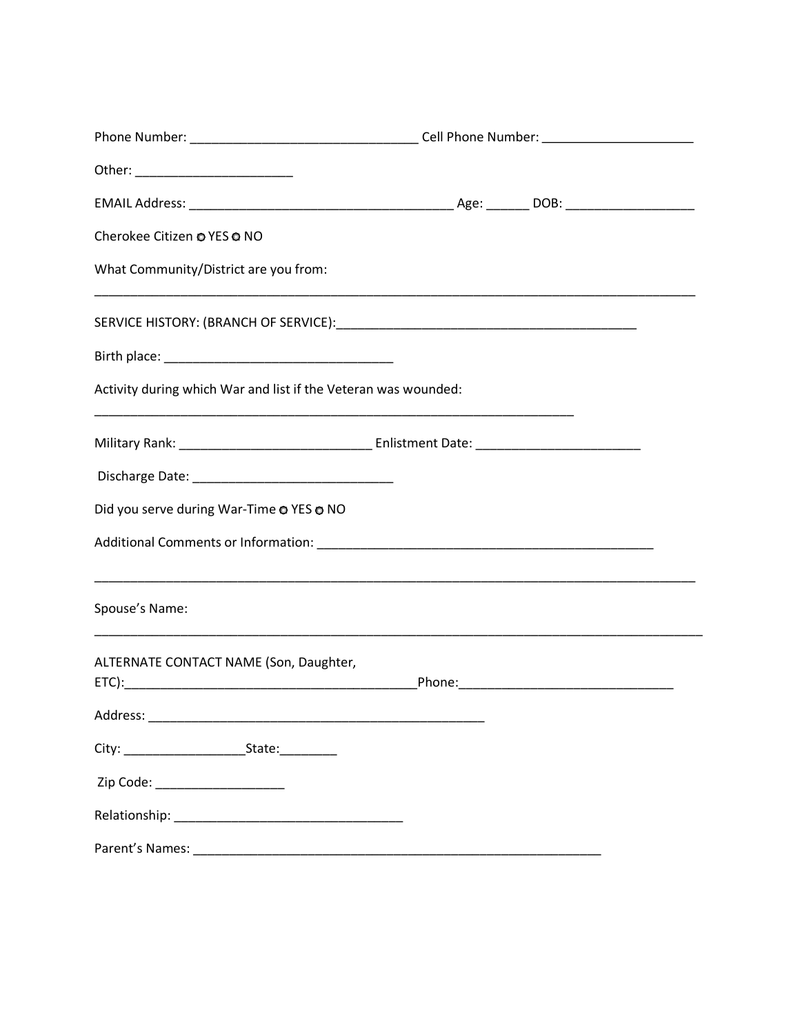| Cherokee Citizen @ YES @ NO                                    |  |
|----------------------------------------------------------------|--|
| What Community/District are you from:                          |  |
|                                                                |  |
|                                                                |  |
| Activity during which War and list if the Veteran was wounded: |  |
|                                                                |  |
|                                                                |  |
| Did you serve during War-Time @ YES @ NO                       |  |
|                                                                |  |
| Spouse's Name:                                                 |  |
| ALTERNATE CONTACT NAME (Son, Daughter,                         |  |
|                                                                |  |
|                                                                |  |
| Zip Code: _______________________                              |  |
|                                                                |  |
|                                                                |  |